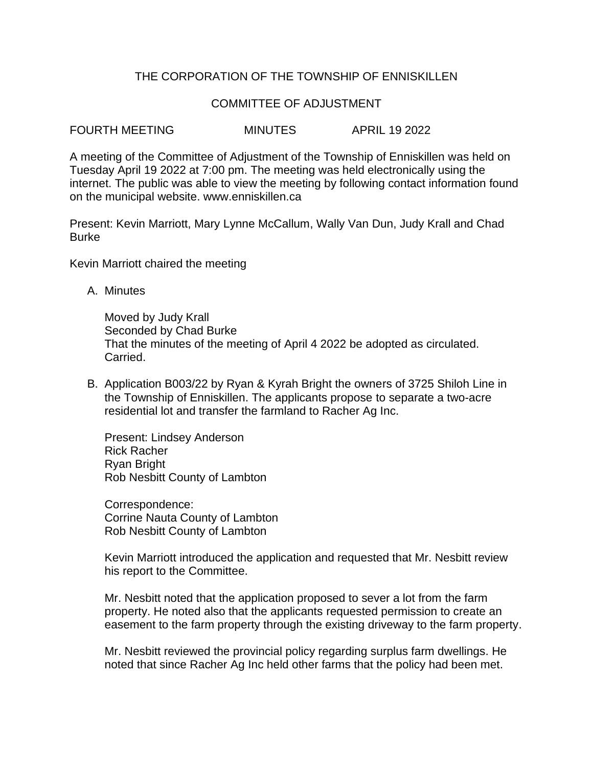# THE CORPORATION OF THE TOWNSHIP OF ENNISKILLEN

#### COMMITTEE OF ADJUSTMENT

FOURTH MEETING MINUTES APRIL 19 2022

A meeting of the Committee of Adjustment of the Township of Enniskillen was held on Tuesday April 19 2022 at 7:00 pm. The meeting was held electronically using the internet. The public was able to view the meeting by following contact information found on the municipal website. www.enniskillen.ca

Present: Kevin Marriott, Mary Lynne McCallum, Wally Van Dun, Judy Krall and Chad Burke

Kevin Marriott chaired the meeting

A. Minutes

Moved by Judy Krall Seconded by Chad Burke That the minutes of the meeting of April 4 2022 be adopted as circulated. Carried.

B. Application B003/22 by Ryan & Kyrah Bright the owners of 3725 Shiloh Line in the Township of Enniskillen. The applicants propose to separate a two-acre residential lot and transfer the farmland to Racher Ag Inc.

Present: Lindsey Anderson Rick Racher Ryan Bright Rob Nesbitt County of Lambton

Correspondence: Corrine Nauta County of Lambton Rob Nesbitt County of Lambton

Kevin Marriott introduced the application and requested that Mr. Nesbitt review his report to the Committee.

Mr. Nesbitt noted that the application proposed to sever a lot from the farm property. He noted also that the applicants requested permission to create an easement to the farm property through the existing driveway to the farm property.

Mr. Nesbitt reviewed the provincial policy regarding surplus farm dwellings. He noted that since Racher Ag Inc held other farms that the policy had been met.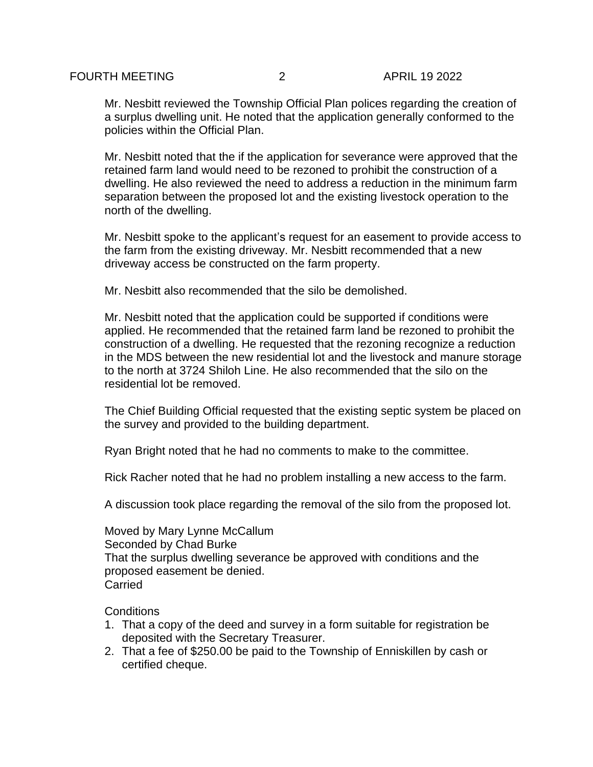Mr. Nesbitt reviewed the Township Official Plan polices regarding the creation of a surplus dwelling unit. He noted that the application generally conformed to the policies within the Official Plan.

Mr. Nesbitt noted that the if the application for severance were approved that the retained farm land would need to be rezoned to prohibit the construction of a dwelling. He also reviewed the need to address a reduction in the minimum farm separation between the proposed lot and the existing livestock operation to the north of the dwelling.

Mr. Nesbitt spoke to the applicant's request for an easement to provide access to the farm from the existing driveway. Mr. Nesbitt recommended that a new driveway access be constructed on the farm property.

Mr. Nesbitt also recommended that the silo be demolished.

Mr. Nesbitt noted that the application could be supported if conditions were applied. He recommended that the retained farm land be rezoned to prohibit the construction of a dwelling. He requested that the rezoning recognize a reduction in the MDS between the new residential lot and the livestock and manure storage to the north at 3724 Shiloh Line. He also recommended that the silo on the residential lot be removed.

The Chief Building Official requested that the existing septic system be placed on the survey and provided to the building department.

Ryan Bright noted that he had no comments to make to the committee.

Rick Racher noted that he had no problem installing a new access to the farm.

A discussion took place regarding the removal of the silo from the proposed lot.

Moved by Mary Lynne McCallum Seconded by Chad Burke That the surplus dwelling severance be approved with conditions and the proposed easement be denied. Carried

**Conditions** 

- 1. That a copy of the deed and survey in a form suitable for registration be deposited with the Secretary Treasurer.
- 2. That a fee of \$250.00 be paid to the Township of Enniskillen by cash or certified cheque.